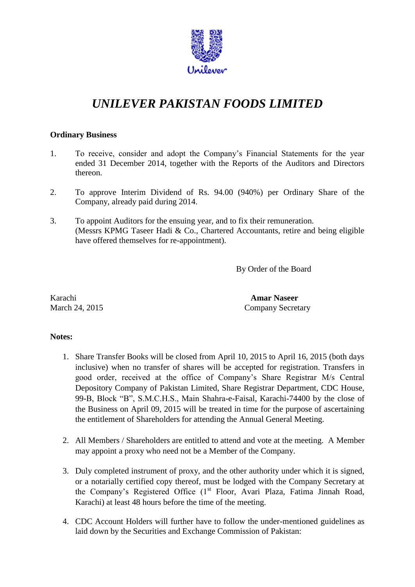

# *UNILEVER PAKISTAN FOODS LIMITED*

## **Ordinary Business**

- 1. To receive, consider and adopt the Company's Financial Statements for the year ended 31 December 2014, together with the Reports of the Auditors and Directors thereon.
- 2. To approve Interim Dividend of Rs. 94.00 (940%) per Ordinary Share of the Company, already paid during 2014.
- 3. To appoint Auditors for the ensuing year, and to fix their remuneration. (Messrs KPMG Taseer Hadi & Co., Chartered Accountants, retire and being eligible have offered themselves for re-appointment).

By Order of the Board

Karachi **Amar Naseer**

March 24, 2015 Company Secretary

## **Notes:**

- 1. Share Transfer Books will be closed from April 10, 2015 to April 16, 2015 (both days inclusive) when no transfer of shares will be accepted for registration. Transfers in good order, received at the office of Company's Share Registrar M/s Central Depository Company of Pakistan Limited, Share Registrar Department, CDC House, 99-B, Block "B", S.M.C.H.S., Main Shahra-e-Faisal, Karachi-74400 by the close of the Business on April 09, 2015 will be treated in time for the purpose of ascertaining the entitlement of Shareholders for attending the Annual General Meeting.
- 2. All Members / Shareholders are entitled to attend and vote at the meeting. A Member may appoint a proxy who need not be a Member of the Company.
- 3. Duly completed instrument of proxy, and the other authority under which it is signed, or a notarially certified copy thereof, must be lodged with the Company Secretary at the Company's Registered Office  $(1<sup>st</sup>$  Floor, Avari Plaza, Fatima Jinnah Road, Karachi) at least 48 hours before the time of the meeting.
- 4. CDC Account Holders will further have to follow the under-mentioned guidelines as laid down by the Securities and Exchange Commission of Pakistan: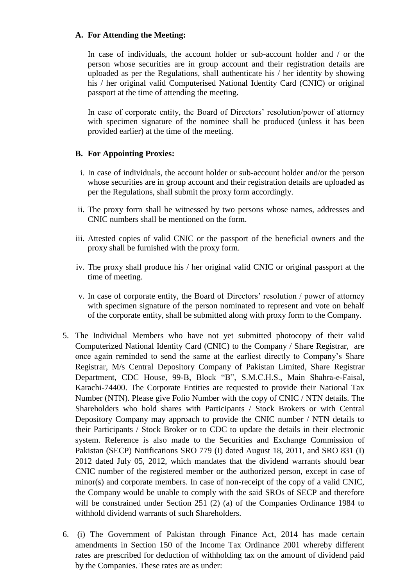### **A. For Attending the Meeting:**

In case of individuals, the account holder or sub-account holder and / or the person whose securities are in group account and their registration details are uploaded as per the Regulations, shall authenticate his / her identity by showing his / her original valid Computerised National Identity Card (CNIC) or original passport at the time of attending the meeting.

In case of corporate entity, the Board of Directors' resolution/power of attorney with specimen signature of the nominee shall be produced (unless it has been provided earlier) at the time of the meeting.

## **B. For Appointing Proxies:**

- i. In case of individuals, the account holder or sub-account holder and/or the person whose securities are in group account and their registration details are uploaded as per the Regulations, shall submit the proxy form accordingly.
- ii. The proxy form shall be witnessed by two persons whose names, addresses and CNIC numbers shall be mentioned on the form.
- iii. Attested copies of valid CNIC or the passport of the beneficial owners and the proxy shall be furnished with the proxy form.
- iv. The proxy shall produce his / her original valid CNIC or original passport at the time of meeting.
- v. In case of corporate entity, the Board of Directors' resolution / power of attorney with specimen signature of the person nominated to represent and vote on behalf of the corporate entity, shall be submitted along with proxy form to the Company.
- 5. The Individual Members who have not yet submitted photocopy of their valid Computerized National Identity Card (CNIC) to the Company / Share Registrar, are once again reminded to send the same at the earliest directly to Company's Share Registrar, M/s Central Depository Company of Pakistan Limited, Share Registrar Department, CDC House, 99-B, Block "B", S.M.C.H.S., Main Shahra-e-Faisal, Karachi-74400. The Corporate Entities are requested to provide their National Tax Number (NTN). Please give Folio Number with the copy of CNIC / NTN details. The Shareholders who hold shares with Participants / Stock Brokers or with Central Depository Company may approach to provide the CNIC number / NTN details to their Participants / Stock Broker or to CDC to update the details in their electronic system. Reference is also made to the Securities and Exchange Commission of Pakistan (SECP) Notifications SRO 779 (I) dated August 18, 2011, and SRO 831 (I) 2012 dated July 05, 2012, which mandates that the dividend warrants should bear CNIC number of the registered member or the authorized person, except in case of minor(s) and corporate members. In case of non-receipt of the copy of a valid CNIC, the Company would be unable to comply with the said SROs of SECP and therefore will be constrained under Section 251 (2) (a) of the Companies Ordinance 1984 to withhold dividend warrants of such Shareholders.
- 6. (i) The Government of Pakistan through Finance Act, 2014 has made certain amendments in Section 150 of the Income Tax Ordinance 2001 whereby different rates are prescribed for deduction of withholding tax on the amount of dividend paid by the Companies. These rates are as under: